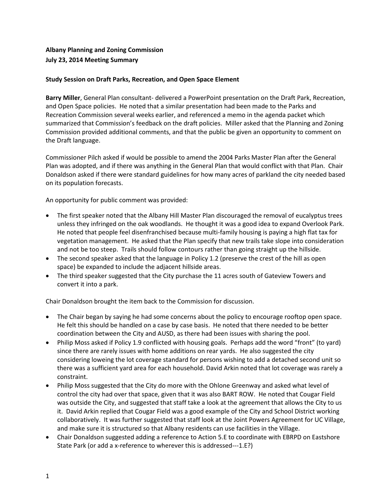## **Albany Planning and Zoning Commission July 23, 2014 Meeting Summary**

## **Study Session on Draft Parks, Recreation, and Open Space Element**

**Barry Miller**, General Plan consultant- delivered a PowerPoint presentation on the Draft Park, Recreation, and Open Space policies. He noted that a similar presentation had been made to the Parks and Recreation Commission several weeks earlier, and referenced a memo in the agenda packet which summarized that Commission's feedback on the draft policies. Miller asked that the Planning and Zoning Commission provided additional comments, and that the public be given an opportunity to comment on the Draft language.

Commissioner Pilch asked if would be possible to amend the 2004 Parks Master Plan after the General Plan was adopted, and if there was anything in the General Plan that would conflict with that Plan. Chair Donaldson asked if there were standard guidelines for how many acres of parkland the city needed based on its population forecasts.

An opportunity for public comment was provided:

- The first speaker noted that the Albany Hill Master Plan discouraged the removal of eucalyptus trees unless they infringed on the oak woodlands. He thought it was a good idea to expand Overlook Park. He noted that people feel disenfranchised because multi-family housing is paying a high flat tax for vegetation management. He asked that the Plan specify that new trails take slope into consideration and not be too steep. Trails should follow contours rather than going straight up the hillside.
- The second speaker asked that the language in Policy 1.2 (preserve the crest of the hill as open space) be expanded to include the adjacent hillside areas.
- The third speaker suggested that the City purchase the 11 acres south of Gateview Towers and convert it into a park.

Chair Donaldson brought the item back to the Commission for discussion.

- The Chair began by saying he had some concerns about the policy to encourage rooftop open space. He felt this should be handled on a case by case basis. He noted that there needed to be better coordination between the City and AUSD, as there had been issues with sharing the pool.
- Philip Moss asked if Policy 1.9 conflicted with housing goals. Perhaps add the word "front" (to yard) since there are rarely issues with home additions on rear yards. He also suggested the city considering loweing the lot coverage standard for persons wishing to add a detached second unit so there was a sufficient yard area for each household. David Arkin noted that lot coverage was rarely a constraint.
- Philip Moss suggested that the City do more with the Ohlone Greenway and asked what level of control the city had over that space, given that it was also BART ROW. He noted that Cougar Field was outside the City, and suggested that staff take a look at the agreement that allows the City to us it. David Arkin replied that Cougar Field was a good example of the City and School District working collaboratively. It was further suggested that staff look at the Joint Powers Agreement for UC Village, and make sure it is structured so that Albany residents can use facilities in the Village.
- Chair Donaldson suggested adding a reference to Action 5.E to coordinate with EBRPD on Eastshore State Park (or add a x-reference to wherever this is addressed---1.E?)